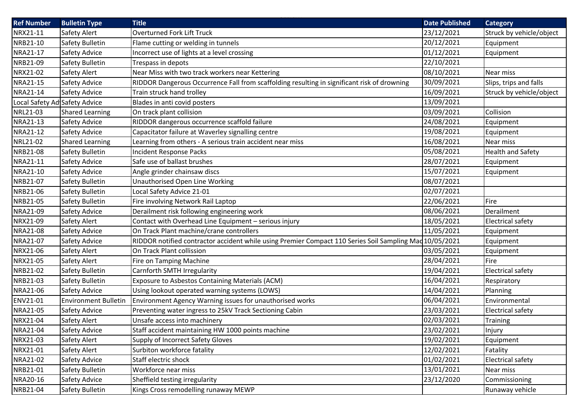| <b>Ref Number</b>             | <b>Bulletin Type</b>        | <b>Title</b>                                                                                            | <b>Date Published</b> | <b>Category</b>          |
|-------------------------------|-----------------------------|---------------------------------------------------------------------------------------------------------|-----------------------|--------------------------|
| NRX21-11                      | Safety Alert                | Overturned Fork Lift Truck                                                                              | 23/12/2021            | Struck by vehicle/object |
| NRB21-10                      | Safety Bulletin             | Flame cutting or welding in tunnels                                                                     | 20/12/2021            | Equipment                |
| NRA21-17                      | Safety Advice               | Incorrect use of lights at a level crossing                                                             | 01/12/2021            | Equipment                |
| NRB21-09                      | Safety Bulletin             | Trespass in depots                                                                                      | 22/10/2021            |                          |
| NRX21-02                      | Safety Alert                | Near Miss with two track workers near Kettering                                                         | 08/10/2021            | Near miss                |
| NRA21-15                      | Safety Advice               | RIDDOR Dangerous Occurrence Fall from scaffolding resulting in significant risk of drowning             | 30/09/2021            | Slips, trips and falls   |
| NRA21-14                      | Safety Advice               | Train struck hand trolley                                                                               | 16/09/2021            | Struck by vehicle/object |
| Local Safety Ad Safety Advice |                             | Blades in anti covid posters                                                                            | 13/09/2021            |                          |
| NRL21-03                      | <b>Shared Learning</b>      | On track plant collision                                                                                | 03/09/2021            | Collision                |
| NRA21-13                      | Safety Advice               | RIDDOR dangerous occurrence scaffold failure                                                            | 24/08/2021            | Equipment                |
| NRA21-12                      | Safety Advice               | Capacitator failure at Waverley signalling centre                                                       | 19/08/2021            | Equipment                |
| NRL21-02                      | <b>Shared Learning</b>      | Learning from others - A serious train accident near miss                                               | 16/08/2021            | Near miss                |
| NRB21-08                      | Safety Bulletin             | Incident Response Packs                                                                                 | 05/08/2021            | <b>Health and Safety</b> |
| NRA21-11                      | Safety Advice               | Safe use of ballast brushes                                                                             | 28/07/2021            | Equipment                |
| NRA21-10                      | Safety Advice               | Angle grinder chainsaw discs                                                                            | 15/07/2021            | Equipment                |
| NRB21-07                      | <b>Safety Bulletin</b>      | Unauthorised Open Line Working                                                                          | 08/07/2021            |                          |
| NRB21-06                      | Safety Bulletin             | Local Safety Advice 21-01                                                                               | 02/07/2021            |                          |
| NRB21-05                      | Safety Bulletin             | Fire involving Network Rail Laptop                                                                      | 22/06/2021            | Fire                     |
| NRA21-09                      | Safety Advice               | Derailment risk following engineering work                                                              | 08/06/2021            | Derailment               |
| NRX21-09                      | Safety Alert                | Contact with Overhead Line Equipment - serious injury                                                   | 18/05/2021            | Electrical safety        |
| NRA21-08                      | Safety Advice               | On Track Plant machine/crane controllers                                                                | 11/05/2021            | Equipment                |
| NRA21-07                      | Safety Advice               | RIDDOR notified contractor accident while using Premier Compact 110 Series Soil Sampling Mad 10/05/2021 |                       | Equipment                |
| NRX21-06                      | Safety Alert                | On Track Plant collission                                                                               | 03/05/2021            | Equipment                |
| NRX21-05                      | Safety Alert                | Fire on Tamping Machine                                                                                 | 28/04/2021            | Fire                     |
| NRB21-02                      | Safety Bulletin             | Carnforth SMTH Irregularity                                                                             | 19/04/2021            | <b>Electrical safety</b> |
| NRB21-03                      | Safety Bulletin             | Exposure to Asbestos Containing Materials (ACM)                                                         | 16/04/2021            | Respiratory              |
| NRA21-06                      | Safety Advice               | Using lookout operated warning systems (LOWS)                                                           | 14/04/2021            | Planning                 |
| ENV21-01                      | <b>Environment Bulletin</b> | Environment Agency Warning issues for unauthorised works                                                | 06/04/2021            | Environmental            |
| NRA21-05                      | Safety Advice               | Preventing water ingress to 25kV Track Sectioning Cabin                                                 | 23/03/2021            | <b>Electrical safety</b> |
| NRX21-04                      | Safety Alert                | Unsafe access into machinery                                                                            | 02/03/2021            | <b>Training</b>          |
| NRA21-04                      | Safety Advice               | Staff accident maintaining HW 1000 points machine                                                       | 23/02/2021            | Injury                   |
| NRX21-03                      | Safety Alert                | Supply of Incorrect Safety Gloves                                                                       | 19/02/2021            | Equipment                |
| NRX21-01                      | Safety Alert                | Surbiton workforce fatality                                                                             | 12/02/2021            | Fatality                 |
| NRA21-02                      | Safety Advice               | Staff electric shock                                                                                    | 01/02/2021            | Electrical safety        |
| NRB21-01                      | Safety Bulletin             | Workforce near miss                                                                                     | 13/01/2021            | Near miss                |
| NRA20-16                      | Safety Advice               | Sheffield testing irregularity                                                                          | 23/12/2020            | Commissioning            |
| NRB21-04                      | Safety Bulletin             | Kings Cross remodelling runaway MEWP                                                                    |                       | Runaway vehicle          |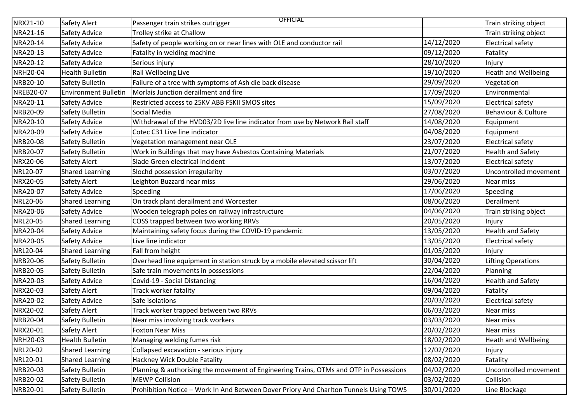| NRX21-10         | Safety Alert                | <b>OFFICIAL</b><br>Passenger train strikes outrigger                                   |            | Train striking object      |
|------------------|-----------------------------|----------------------------------------------------------------------------------------|------------|----------------------------|
| NRA21-16         | Safety Advice               | Trolley strike at Challow                                                              |            | Train striking object      |
| NRA20-14         | Safety Advice               | Safety of people working on or near lines with OLE and conductor rail                  | 14/12/2020 | Electrical safety          |
| NRA20-13         | Safety Advice               | Fatality in welding machine                                                            | 09/12/2020 | Fatality                   |
| NRA20-12         | Safety Advice               | Serious injury                                                                         | 28/10/2020 | Injury                     |
| <b>NRH20-04</b>  | <b>Health Bulletin</b>      | Rail Wellbeing Live                                                                    | 19/10/2020 | <b>Heath and Wellbeing</b> |
| NRB20-10         | Safety Bulletin             | Failure of a tree with symptoms of Ash die back disease                                | 29/09/2020 | Vegetation                 |
| <b>NREB20-07</b> | <b>Environment Bulletin</b> | Morlais Junction derailment and fire                                                   | 17/09/2020 | Environmental              |
| NRA20-11         | Safety Advice               | Restricted access to 25KV ABB FSKII SMOS sites                                         | 15/09/2020 | <b>Electrical safety</b>   |
| NRB20-09         | Safety Bulletin             | Social Media                                                                           | 27/08/2020 | Behaviour & Culture        |
| NRA20-10         | Safety Advice               | Withdrawal of the HVD03/2D live line indicator from use by Network Rail staff          | 14/08/2020 | Equipment                  |
| NRA20-09         | Safety Advice               | Cotec C31 Live line indicator                                                          | 04/08/2020 | Equipment                  |
| <b>NRB20-08</b>  | Safety Bulletin             | Vegetation management near OLE                                                         | 23/07/2020 | <b>Electrical safety</b>   |
| NRB20-07         | Safety Bulletin             | Work in Buildings that may have Asbestos Containing Materials                          | 21/07/2020 | <b>Health and Safety</b>   |
| NRX20-06         | Safety Alert                | Slade Green electrical incident                                                        | 13/07/2020 | <b>Electrical safety</b>   |
| NRL20-07         | <b>Shared Learning</b>      | Slochd possession irregularity                                                         | 03/07/2020 | Uncontrolled movement      |
| NRX20-05         | Safety Alert                | Leighton Buzzard near miss                                                             | 29/06/2020 | Near miss                  |
| NRA20-07         | Safety Advice               | Speeding                                                                               | 17/06/2020 | Speeding                   |
| NRL20-06         | <b>Shared Learning</b>      | On track plant derailment and Worcester                                                | 08/06/2020 | Derailment                 |
| NRA20-06         | Safety Advice               | Wooden telegraph poles on railway infrastructure                                       | 04/06/2020 | Train striking object      |
| NRL20-05         | <b>Shared Learning</b>      | COSS trapped between two working RRVs                                                  | 20/05/2020 | Injury                     |
| NRA20-04         | Safety Advice               | Maintaining safety focus during the COVID-19 pandemic                                  | 13/05/2020 | <b>Health and Safety</b>   |
| NRA20-05         | Safety Advice               | Live line indicator                                                                    | 13/05/2020 | <b>Electrical safety</b>   |
| NRL20-04         | <b>Shared Learning</b>      | Fall from height                                                                       | 01/05/2020 | Injury                     |
| NRB20-06         | Safety Bulletin             | Overhead line equipment in station struck by a mobile elevated scissor lift            | 30/04/2020 | Lifting Operations         |
| NRB20-05         | Safety Bulletin             | Safe train movements in possessions                                                    | 22/04/2020 | Planning                   |
| NRA20-03         | Safety Advice               | Covid-19 - Social Distancing                                                           | 16/04/2020 | <b>Health and Safety</b>   |
| NRX20-03         | Safety Alert                | Track worker fatality                                                                  | 09/04/2020 | Fatality                   |
| NRA20-02         | Safety Advice               | Safe isolations                                                                        | 20/03/2020 | <b>Electrical safety</b>   |
| NRX20-02         | Safety Alert                | Track worker trapped between two RRVs                                                  | 06/03/2020 | Near miss                  |
| NRB20-04         | Safety Bulletin             | Near miss involving track workers                                                      | 03/03/2020 | Near miss                  |
| NRX20-01         | Safety Alert                | <b>Foxton Near Miss</b>                                                                | 20/02/2020 | Near miss                  |
| NRH20-03         | <b>Health Bulletin</b>      | Managing welding fumes risk                                                            | 18/02/2020 | <b>Heath and Wellbeing</b> |
| NRL20-02         | <b>Shared Learning</b>      | Collapsed excavation - serious injury                                                  | 12/02/2020 | Injury                     |
| NRL20-01         | <b>Shared Learning</b>      | Hackney Wick Double Fatality                                                           | 08/02/2020 | Fatality                   |
| NRB20-03         | Safety Bulletin             | Planning & authorising the movement of Engineering Trains, OTMs and OTP in Possessions | 04/02/2020 | Uncontrolled movement      |
| NRB20-02         | Safety Bulletin             | <b>MEWP Collision</b>                                                                  | 03/02/2020 | Collision                  |
| NRB20-01         | Safety Bulletin             | Prohibition Notice - Work In And Between Dover Priory And Charlton Tunnels Using TOWS  | 30/01/2020 | Line Blockage              |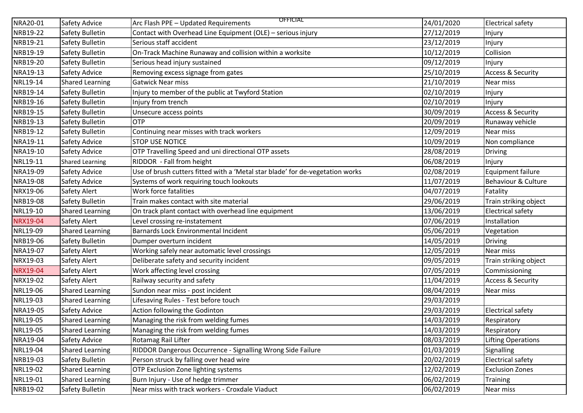| NRA20-01 | Safety Advice          | <b>OFFICIAL</b><br>Arc Flash PPE - Updated Requirements                       | 24/01/2020 | <b>Electrical safety</b>     |
|----------|------------------------|-------------------------------------------------------------------------------|------------|------------------------------|
| NRB19-22 | Safety Bulletin        | Contact with Overhead Line Equipment (OLE) - serious injury                   | 27/12/2019 | Injury                       |
| NRB19-21 | Safety Bulletin        | Serious staff accident                                                        | 23/12/2019 | Injury                       |
| NRB19-19 | Safety Bulletin        | On-Track Machine Runaway and collision within a worksite                      | 10/12/2019 | Collision                    |
| NRB19-20 | Safety Bulletin        | Serious head injury sustained                                                 | 09/12/2019 | Injury                       |
| NRA19-13 | Safety Advice          | Removing excess signage from gates                                            | 25/10/2019 | <b>Access &amp; Security</b> |
| NRL19-14 | <b>Shared Learning</b> | <b>Gatwick Near miss</b>                                                      | 21/10/2019 | Near miss                    |
| NRB19-14 | Safety Bulletin        | Injury to member of the public at Twyford Station                             | 02/10/2019 | Injury                       |
| NRB19-16 | Safety Bulletin        | Injury from trench                                                            | 02/10/2019 | Injury                       |
| NRB19-15 | Safety Bulletin        | Unsecure access points                                                        | 30/09/2019 | <b>Access &amp; Security</b> |
| NRB19-13 | Safety Bulletin        | <b>OTP</b>                                                                    | 20/09/2019 | Runaway vehicle              |
| NRB19-12 | Safety Bulletin        | Continuing near misses with track workers                                     | 12/09/2019 | Near miss                    |
| NRA19-11 | Safety Advice          | <b>STOP USE NOTICE</b>                                                        | 10/09/2019 | Non compliance               |
| NRA19-10 | Safety Advice          | OTP Travelling Speed and uni directional OTP assets                           | 28/08/2019 | Driving                      |
| NRL19-11 | <b>Shared Learning</b> | RIDDOR - Fall from height                                                     | 06/08/2019 | Injury                       |
| NRA19-09 | Safety Advice          | Use of brush cutters fitted with a 'Metal star blade' for de-vegetation works | 02/08/2019 | <b>Equipment failure</b>     |
| NRA19-08 | Safety Advice          | Systems of work requiring touch lookouts                                      | 11/07/2019 | Behaviour & Culture          |
| NRX19-06 | Safety Alert           | Work force fatalities                                                         | 04/07/2019 | Fatality                     |
| NRB19-08 | Safety Bulletin        | Train makes contact with site material                                        | 29/06/2019 | Train striking object        |
| NRL19-10 | <b>Shared Learning</b> | On track plant contact with overhead line equipment                           | 13/06/2019 | <b>Electrical safety</b>     |
| NRX19-04 | Safety Alert           | Level crossing re-instatement                                                 | 07/06/2019 | Installation                 |
| NRL19-09 | <b>Shared Learning</b> | Barnards Lock Environmental Incident                                          | 05/06/2019 | Vegetation                   |
| NRB19-06 | Safety Bulletin        | Dumper overturn incident                                                      | 14/05/2019 | Driving                      |
| NRA19-07 | Safety Alert           | Working safely near automatic level crossings                                 | 12/05/2019 | Near miss                    |
| NRX19-03 | Safety Alert           | Deliberate safety and security incident                                       | 09/05/2019 | Train striking object        |
| NRX19-04 | Safety Alert           | Work affecting level crossing                                                 | 07/05/2019 | Commissioning                |
| NRX19-02 | Safety Alert           | Railway security and safety                                                   | 11/04/2019 | <b>Access &amp; Security</b> |
| NRL19-06 | <b>Shared Learning</b> | Sundon near miss - post incident                                              | 08/04/2019 | Near miss                    |
| NRL19-03 | <b>Shared Learning</b> | Lifesaving Rules - Test before touch                                          | 29/03/2019 |                              |
| NRA19-05 | Safety Advice          | Action following the Godinton                                                 | 29/03/2019 | Electrical safety            |
| NRL19-05 | <b>Shared Learning</b> | Managing the risk from welding fumes                                          | 14/03/2019 | Respiratory                  |
| NRL19-05 | <b>Shared Learning</b> | Managing the risk from welding fumes                                          | 14/03/2019 | Respiratory                  |
| NRA19-04 | Safety Advice          | Rotamag Rail Lifter                                                           | 08/03/2019 | <b>Lifting Operations</b>    |
| NRL19-04 | <b>Shared Learning</b> | RIDDOR Dangerous Occurrence - Signalling Wrong Side Failure                   | 01/03/2019 | Signalling                   |
| NRB19-03 | Safety Bulletin        | Person struck by falling over head wire                                       | 20/02/2019 | Electrical safety            |
| NRL19-02 | <b>Shared Learning</b> | OTP Exclusion Zone lighting systems                                           | 12/02/2019 | <b>Exclusion Zones</b>       |
| NRL19-01 | <b>Shared Learning</b> | Burn Injury - Use of hedge trimmer                                            | 06/02/2019 | <b>Training</b>              |
| NRB19-02 | Safety Bulletin        | Near miss with track workers - Croxdale Viaduct                               | 06/02/2019 | Near miss                    |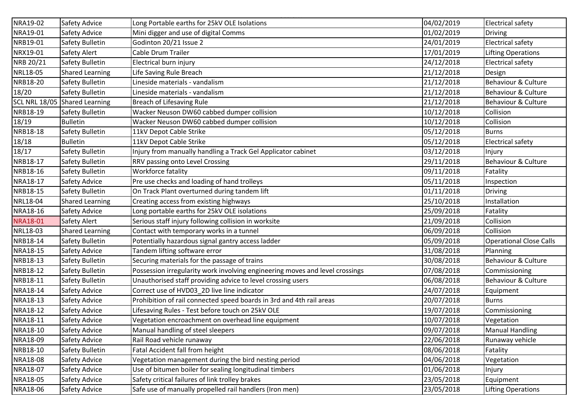| NRA19-02        | Safety Advice                 | Long Portable earths for 25kV OLE Isolations                                 | 04/02/2019 | Electrical safety              |
|-----------------|-------------------------------|------------------------------------------------------------------------------|------------|--------------------------------|
| NRA19-01        | Safety Advice                 | Mini digger and use of digital Comms                                         | 01/02/2019 | <b>Driving</b>                 |
| NRB19-01        | Safety Bulletin               | Godinton 20/21 Issue 2                                                       | 24/01/2019 | <b>Electrical safety</b>       |
| NRX19-01        | Safety Alert                  | Cable Drum Trailer                                                           | 17/01/2019 | Lifting Operations             |
| NRB 20/21       | Safety Bulletin               | Electrical burn injury                                                       | 24/12/2018 | <b>Electrical safety</b>       |
| NRL18-05        | <b>Shared Learning</b>        | Life Saving Rule Breach                                                      | 21/12/2018 | Design                         |
| NRB18-20        | Safety Bulletin               | Lineside materials - vandalism                                               | 21/12/2018 | Behaviour & Culture            |
| 18/20           | Safety Bulletin               | Lineside materials - vandalism                                               | 21/12/2018 | Behaviour & Culture            |
|                 | SCL NRL 18/05 Shared Learning | Breach of Lifesaving Rule                                                    | 21/12/2018 | Behaviour & Culture            |
| NRB18-19        | Safety Bulletin               | Wacker Neuson DW60 cabbed dumper collision                                   | 10/12/2018 | Collision                      |
| 18/19           | <b>Bulletin</b>               | Wacker Neuson DW60 cabbed dumper collision                                   | 10/12/2018 | Collision                      |
| NRB18-18        | Safety Bulletin               | 11kV Depot Cable Strike                                                      | 05/12/2018 | <b>Burns</b>                   |
| 18/18           | <b>Bulletin</b>               | 11kV Depot Cable Strike                                                      | 05/12/2018 | <b>Electrical safety</b>       |
| 18/17           | Safety Bulletin               | Injury from manually handling a Track Gel Applicator cabinet                 | 03/12/2018 | Injury                         |
| NRB18-17        | Safety Bulletin               | RRV passing onto Level Crossing                                              | 29/11/2018 | Behaviour & Culture            |
| NRB18-16        | Safety Bulletin               | Workforce fatality                                                           | 09/11/2018 | Fatality                       |
| NRA18-17        | Safety Advice                 | Pre use checks and loading of hand trolleys                                  | 05/11/2018 | Inspection                     |
| NRB18-15        | Safety Bulletin               | On Track Plant overturned during tandem lift                                 | 01/11/2018 | Driving                        |
| NRL18-04        | <b>Shared Learning</b>        | Creating access from existing highways                                       | 25/10/2018 | Installation                   |
| NRA18-16        | Safety Advice                 | Long portable earths for 25kV OLE isolations                                 | 25/09/2018 | Fatality                       |
| <b>NRA18-01</b> | Safety Alert                  | Serious staff injury following collision in worksite                         | 21/09/2018 | Collision                      |
| NRL18-03        | <b>Shared Learning</b>        | Contact with temporary works in a tunnel                                     | 06/09/2018 | Collision                      |
| NRB18-14        | Safety Bulletin               | Potentially hazardous signal gantry access ladder                            | 05/09/2018 | <b>Operational Close Calls</b> |
| NRA18-15        | Safety Advice                 | Tandem lifting software error                                                | 31/08/2018 | Planning                       |
| NRB18-13        | Safety Bulletin               | Securing materials for the passage of trains                                 | 30/08/2018 | Behaviour & Culture            |
| NRB18-12        | Safety Bulletin               | Possession irregularity work involving engineering moves and level crossings | 07/08/2018 | Commissioning                  |
| NRB18-11        | Safety Bulletin               | Unauthorised staff providing advice to level crossing users                  | 06/08/2018 | Behaviour & Culture            |
| NRA18-14        | Safety Advice                 | Correct use of HVD03_2D live line indicator                                  | 24/07/2018 | Equipment                      |
| NRA18-13        | Safety Advice                 | Prohibition of rail connected speed boards in 3rd and 4th rail areas         | 20/07/2018 | <b>Burns</b>                   |
| NRA18-12        | Safety Advice                 | Lifesaving Rules - Test before touch on 25kV OLE                             | 19/07/2018 | Commissioning                  |
| NRA18-11        | Safety Advice                 | Vegetation encroachment on overhead line equipment                           | 10/07/2018 | Vegetation                     |
| NRA18-10        | <b>Safety Advice</b>          | Manual handling of steel sleepers                                            | 09/07/2018 | <b>Manual Handling</b>         |
| NRA18-09        | Safety Advice                 | Rail Road vehicle runaway                                                    | 22/06/2018 | Runaway vehicle                |
| NRB18-10        | Safety Bulletin               | Fatal Accident fall from height                                              | 08/06/2018 | Fatality                       |
| NRA18-08        | Safety Advice                 | Vegetation management during the bird nesting period                         | 04/06/2018 | Vegetation                     |
| NRA18-07        | Safety Advice                 | Use of bitumen boiler for sealing longitudinal timbers                       | 01/06/2018 | Injury                         |
| NRA18-05        | Safety Advice                 | Safety critical failures of link trolley brakes                              | 23/05/2018 | Equipment                      |
| NRA18-06        | Safety Advice                 | Safe use of manually propelled rail handlers (Iron men)                      | 23/05/2018 | Lifting Operations             |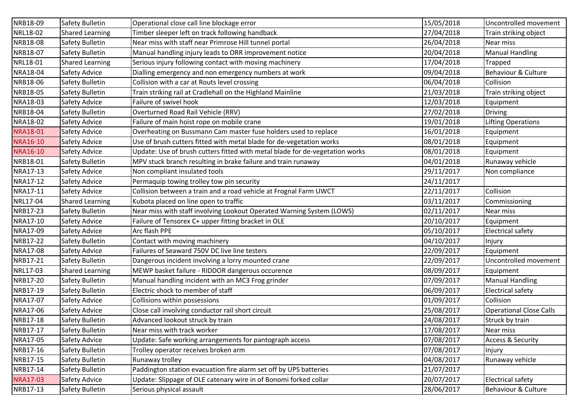| NRB18-09        | Safety Bulletin        | Operational close call line blockage error                                   | 15/05/2018 | Uncontrolled movement          |
|-----------------|------------------------|------------------------------------------------------------------------------|------------|--------------------------------|
| NRL18-02        | <b>Shared Learning</b> | Timber sleeper left on track following handback                              | 27/04/2018 | Train striking object          |
| NRB18-08        | Safety Bulletin        | Near miss with staff near Primrose Hill tunnel portal                        | 26/04/2018 | Near miss                      |
| NRB18-07        | Safety Bulletin        | Manual handling injury leads to ORR improvement notice                       | 20/04/2018 | <b>Manual Handling</b>         |
| NRL18-01        | <b>Shared Learning</b> | Serious injury following contact with moving machinery                       | 17/04/2018 | Trapped                        |
| NRA18-04        | Safety Advice          | Dialling emergency and non emergency numbers at work                         | 09/04/2018 | Behaviour & Culture            |
| NRB18-06        | Safety Bulletin        | Collision with a car at Routs level crossing                                 | 06/04/2018 | Collision                      |
| NRB18-05        | Safety Bulletin        | Train striking rail at Cradlehall on the Highland Mainline                   | 21/03/2018 | Train striking object          |
| NRA18-03        | Safety Advice          | Failure of swivel hook                                                       | 12/03/2018 | Equipment                      |
| NRB18-04        | Safety Bulletin        | Overturned Road Rail Vehicle (RRV)                                           | 27/02/2018 | <b>Driving</b>                 |
| NRA18-02        | Safety Advice          | Failure of main hoist rope on mobile crane                                   | 19/01/2018 | <b>Lifting Operations</b>      |
| NRA18-01        | Safety Advice          | Overheating on Bussmann Cam master fuse holders used to replace              | 16/01/2018 | Equipment                      |
| NRA16-10        | Safety Advice          | Use of brush cutters fitted with metal blade for de-vegetation works         | 08/01/2018 | Equipment                      |
| NRA16-10        | Safety Advice          | Update: Use of brush cutters fitted with metal blade for de-vegetation works | 08/01/2018 | Equipment                      |
| NRB18-01        | Safety Bulletin        | MPV stuck branch resulting in brake failure and train runaway                | 04/01/2018 | Runaway vehicle                |
| NRA17-13        | Safety Advice          | Non compliant insulated tools                                                | 29/11/2017 | Non compliance                 |
| NRA17-12        | Safety Advice          | Permaquip towing trolley tow pin security                                    | 24/11/2017 |                                |
| NRA17-11        | Safety Advice          | Collision between a train and a road vehicle at Frognal Farm UWCT            | 22/11/2017 | Collision                      |
| NRL17-04        | <b>Shared Learning</b> | Kubota placed on line open to traffic                                        | 03/11/2017 | Commissioning                  |
| NRB17-23        | Safety Bulletin        | Near miss with staff involving Lookout Operated Warning System (LOWS)        | 02/11/2017 | Near miss                      |
| NRA17-10        | <b>Safety Advice</b>   | Failure of Tensorex C+ upper fitting bracket in OLE                          | 20/10/2017 | Equipment                      |
| NRA17-09        | Safety Advice          | Arc flash PPE                                                                | 05/10/2017 | Electrical safety              |
| NRB17-22        | Safety Bulletin        | Contact with moving machinery                                                | 04/10/2017 | Injury                         |
| NRA17-08        | Safety Advice          | Failures of Seaward 750V DC live line testers                                | 22/09/2017 | Equipment                      |
| NRB17-21        | Safety Bulletin        | Dangerous incident involving a lorry mounted crane                           | 22/09/2017 | Uncontrolled movement          |
| NRL17-03        | <b>Shared Learning</b> | MEWP basket failure - RIDDOR dangerous occurence                             | 08/09/2017 | Equipment                      |
| NRB17-20        | Safety Bulletin        | Manual handling incident with an MC3 Frog grinder                            | 07/09/2017 | <b>Manual Handling</b>         |
| NRB17-19        | Safety Bulletin        | Electric shock to member of staff                                            | 06/09/2017 | <b>Electrical safety</b>       |
| NRA17-07        | Safety Advice          | Collisions within possessions                                                | 01/09/2017 | Collision                      |
| NRA17-06        | Safety Advice          | Close call involving conductor rail short circuit                            | 25/08/2017 | <b>Operational Close Calls</b> |
| NRB17-18        | Safety Bulletin        | Advanced lookout struck by train                                             | 24/08/2017 | Struck by train                |
| NRB17-17        | Safety Bulletin        | Near miss with track worker                                                  | 17/08/2017 | Near miss                      |
| NRA17-05        | Safety Advice          | Update: Safe working arrangements for pantograph access                      | 07/08/2017 | <b>Access &amp; Security</b>   |
| NRB17-16        | Safety Bulletin        | Trolley operator receives broken arm                                         | 07/08/2017 | Injury                         |
| NRB17-15        | Safety Bulletin        | Runaway trolley                                                              | 04/08/2017 | Runaway vehicle                |
| NRB17-14        | Safety Bulletin        | Paddington station evacuation fire alarm set off by UPS batteries            | 21/07/2017 |                                |
| <b>NRA17-03</b> | Safety Advice          | Update: Slippage of OLE catenary wire in of Bonomi forked collar             | 20/07/2017 | <b>Electrical safety</b>       |
| NRB17-13        | Safety Bulletin        | Serious physical assault                                                     | 28/06/2017 | Behaviour & Culture            |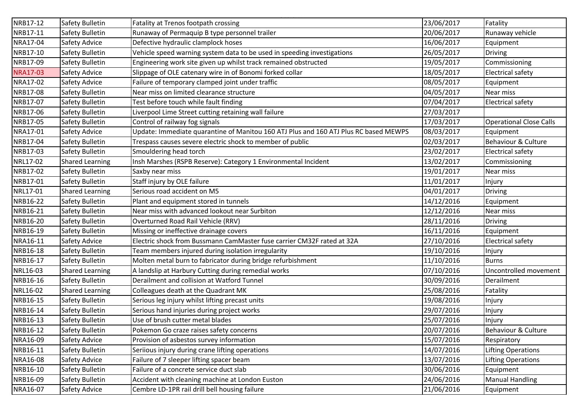| NRB17-12        | Safety Bulletin        | Fatality at Trenos footpath crossing                                                 | 23/06/2017 | Fatality                       |
|-----------------|------------------------|--------------------------------------------------------------------------------------|------------|--------------------------------|
| NRB17-11        | Safety Bulletin        | Runaway of Permaquip B type personnel trailer                                        | 20/06/2017 | Runaway vehicle                |
| NRA17-04        | Safety Advice          | Defective hydraulic clamplock hoses                                                  | 16/06/2017 | Equipment                      |
| NRB17-10        | Safety Bulletin        | Vehicle speed warning system data to be used in speeding investigations              | 26/05/2017 | Driving                        |
| NRB17-09        | Safety Bulletin        | Engineering work site given up whilst track remained obstructed                      | 19/05/2017 | Commissioning                  |
| <b>NRA17-03</b> | Safety Advice          | Slippage of OLE catenary wire in of Bonomi forked collar                             | 18/05/2017 | <b>Electrical safety</b>       |
| NRA17-02        | Safety Advice          | Failure of temporary clamped joint under traffic                                     | 08/05/2017 | Equipment                      |
| NRB17-08        | Safety Bulletin        | Near miss on limited clearance structure                                             | 04/05/2017 | Near miss                      |
| NRB17-07        | Safety Bulletin        | Test before touch while fault finding                                                | 07/04/2017 | <b>Electrical safety</b>       |
| NRB17-06        | Safety Bulletin        | Liverpool Lime Street cutting retaining wall failure                                 | 27/03/2017 |                                |
| NRB17-05        | Safety Bulletin        | Control of railway fog signals                                                       | 17/03/2017 | <b>Operational Close Calls</b> |
| NRA17-01        | Safety Advice          | Update: Immediate quarantine of Manitou 160 ATJ Plus and 160 ATJ Plus RC based MEWPS | 08/03/2017 | Equipment                      |
| NRB17-04        | Safety Bulletin        | Trespass causes severe electric shock to member of public                            | 02/03/2017 | Behaviour & Culture            |
| NRB17-03        | Safety Bulletin        | Smouldering head torch                                                               | 23/02/2017 | <b>Electrical safety</b>       |
| NRL17-02        | <b>Shared Learning</b> | Insh Marshes (RSPB Reserve): Category 1 Environmental Incident                       | 13/02/2017 | Commissioning                  |
| NRB17-02        | Safety Bulletin        | Saxby near miss                                                                      | 19/01/2017 | Near miss                      |
| NRB17-01        | Safety Bulletin        | Staff injury by OLE failure                                                          | 11/01/2017 | Injury                         |
| NRL17-01        | <b>Shared Learning</b> | Serious road accident on M5                                                          | 04/01/2017 | Driving                        |
| NRB16-22        | Safety Bulletin        | Plant and equipment stored in tunnels                                                | 14/12/2016 | Equipment                      |
| NRB16-21        | Safety Bulletin        | Near miss with advanced lookout near Surbiton                                        | 12/12/2016 | Near miss                      |
| NRB16-20        | Safety Bulletin        | Overturned Road Rail Vehicle (RRV)                                                   | 28/11/2016 | <b>Driving</b>                 |
| NRB16-19        | Safety Bulletin        | Missing or ineffective drainage covers                                               | 16/11/2016 | Equipment                      |
| NRA16-11        | Safety Advice          | Electric shock from Bussmann CamMaster fuse carrier CM32F rated at 32A               | 27/10/2016 | <b>Electrical safety</b>       |
| NRB16-18        | Safety Bulletin        | Team members injured during isolation irregularity                                   | 19/10/2016 | Injury                         |
| NRB16-17        | Safety Bulletin        | Molten metal burn to fabricator during bridge refurbishment                          | 11/10/2016 | <b>Burns</b>                   |
| NRL16-03        | <b>Shared Learning</b> | A landslip at Harbury Cutting during remedial works                                  | 07/10/2016 | Uncontrolled movement          |
| NRB16-16        | Safety Bulletin        | Derailment and collision at Watford Tunnel                                           | 30/09/2016 | Derailment                     |
| NRL16-02        | <b>Shared Learning</b> | Colleagues death at the Quadrant MK                                                  | 25/08/2016 | Fatality                       |
| NRB16-15        | Safety Bulletin        | Serious leg injury whilst lifting precast units                                      | 19/08/2016 | Injury                         |
| NRB16-14        | Safety Bulletin        | Serious hand injuries during project works                                           | 29/07/2016 | Injury                         |
| NRB16-13        | Safety Bulletin        | Use of brush cutter metal blades                                                     | 25/07/2016 | Injury                         |
| NRB16-12        | Safety Bulletin        | Pokemon Go craze raises safety concerns                                              | 20/07/2016 | Behaviour & Culture            |
| NRA16-09        | Safety Advice          | Provision of asbestos survey information                                             | 15/07/2016 | Respiratory                    |
| NRB16-11        | Safety Bulletin        | Seriious injury during crane lifting operations                                      | 14/07/2016 | <b>Lifting Operations</b>      |
| NRA16-08        | Safety Advice          | Failure of 7 sleeper lifting spacer beam                                             | 13/07/2016 | Lifting Operations             |
| NRB16-10        | Safety Bulletin        | Failure of a concrete service duct slab                                              | 30/06/2016 | Equipment                      |
| NRB16-09        | Safety Bulletin        | Accident with cleaning machine at London Euston                                      | 24/06/2016 | <b>Manual Handling</b>         |
| NRA16-07        | Safety Advice          | Cembre LD-1PR rail drill bell housing failure                                        | 21/06/2016 | Equipment                      |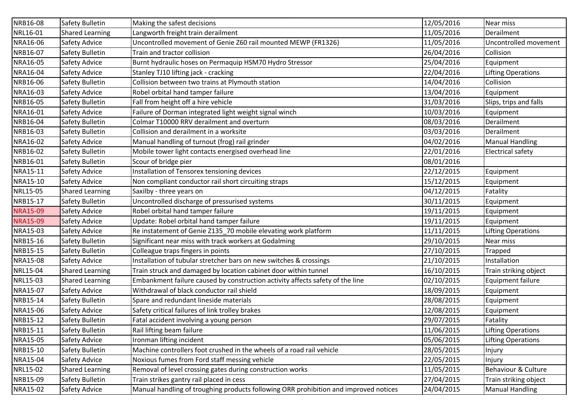| NRB16-08        | Safety Bulletin        | Making the safest decisions                                                          | 12/05/2016 | Near miss                 |
|-----------------|------------------------|--------------------------------------------------------------------------------------|------------|---------------------------|
| NRL16-01        | <b>Shared Learning</b> | Langworth freight train derailment                                                   | 11/05/2016 | Derailment                |
| NRA16-06        | Safety Advice          | Uncontrolled movement of Genie Z60 rail mounted MEWP (FR1326)                        | 11/05/2016 | Uncontrolled movement     |
| NRB16-07        | Safety Bulletin        | Train and tractor collision                                                          | 26/04/2016 | Collision                 |
| NRA16-05        | Safety Advice          | Burnt hydraulic hoses on Permaquip HSM70 Hydro Stressor                              | 25/04/2016 | Equipment                 |
| NRA16-04        | Safety Advice          | Stanley TJ10 lifting jack - cracking                                                 | 22/04/2016 | <b>Lifting Operations</b> |
| NRB16-06        | Safety Bulletin        | Collision between two trains at Plymouth station                                     | 14/04/2016 | Collision                 |
| NRA16-03        | Safety Advice          | Robel orbital hand tamper failure                                                    | 13/04/2016 | Equipment                 |
| NRB16-05        | Safety Bulletin        | Fall from height off a hire vehicle                                                  | 31/03/2016 | Slips, trips and falls    |
| NRA16-01        | Safety Advice          | Failure of Dorman integrated light weight signal winch                               | 10/03/2016 | Equipment                 |
| NRB16-04        | Safety Bulletin        | Colmar T10000 RRV derailment and overturn                                            | 08/03/2016 | Derailment                |
| NRB16-03        | Safety Bulletin        | Collision and derailment in a worksite                                               | 03/03/2016 | Derailment                |
| NRA16-02        | Safety Advice          | Manual handling of turnout (frog) rail grinder                                       | 04/02/2016 | <b>Manual Handling</b>    |
| NRB16-02        | Safety Bulletin        | Mobile tower light contacts energised overhead line                                  | 22/01/2016 | <b>Electrical safety</b>  |
| NRB16-01        | Safety Bulletin        | Scour of bridge pier                                                                 | 08/01/2016 |                           |
| NRA15-11        | Safety Advice          | Installation of Tensorex tensioning devices                                          | 22/12/2015 | Equipment                 |
| NRA15-10        | Safety Advice          | Non compliant conductor rail short circuiting straps                                 | 15/12/2015 | Equipment                 |
| NRL15-05        | <b>Shared Learning</b> | Saxilby - three years on                                                             | 04/12/2015 | Fatality                  |
| NRB15-17        | Safety Bulletin        | Uncontrolled discharge of pressurised systems                                        | 30/11/2015 | Equipment                 |
| <b>NRA15-09</b> | Safety Advice          | Robel orbital hand tamper failure                                                    | 19/11/2015 | Equipment                 |
| <b>NRA15-09</b> | Safety Advice          | Update: Robel orbital hand tamper failure                                            | 19/11/2015 | Equipment                 |
| NRA15-03        | Safety Advice          | Re instatement of Genie Z135_70 mobile elevating work platform                       | 11/11/2015 | <b>Lifting Operations</b> |
| NRB15-16        | Safety Bulletin        | Significant near miss with track workers at Godalming                                | 29/10/2015 | Near miss                 |
| NRB15-15        | Safety Bulletin        | Colleague traps fingers in points                                                    | 27/10/2015 | <b>Trapped</b>            |
| NRA15-08        | Safety Advice          | Installation of tubular stretcher bars on new switches & crossings                   | 21/10/2015 | Installation              |
| NRL15-04        | <b>Shared Learning</b> | Train struck and damaged by location cabinet door within tunnel                      | 16/10/2015 | Train striking object     |
| NRL15-03        | <b>Shared Learning</b> | Embankment failure caused by construction activity affects safety of the line        | 02/10/2015 | <b>Equipment failure</b>  |
| NRA15-07        | Safety Advice          | Withdrawal of black conductor rail shield                                            | 18/09/2015 | Equipment                 |
| NRB15-14        | Safety Bulletin        | Spare and redundant lineside materials                                               | 28/08/2015 | Equipment                 |
| NRA15-06        | Safety Advice          | Safety critical failures of link trolley brakes                                      | 12/08/2015 | Equipment                 |
| NRB15-12        | Safety Bulletin        | Fatal accident involving a young person                                              | 29/07/2015 | Fatality                  |
| NRB15-11        | Safety Bulletin        | Rail lifting beam failure                                                            | 11/06/2015 | Lifting Operations        |
| NRA15-05        | Safety Advice          | Ironman lifting incident                                                             | 05/06/2015 | <b>Lifting Operations</b> |
| NRB15-10        | Safety Bulletin        | Machine controllers foot crushed in the wheels of a road rail vehicle                | 28/05/2015 | Injury                    |
| NRA15-04        | Safety Advice          | Noxious fumes from Ford staff messing vehicle                                        | 22/05/2015 | Injury                    |
| NRL15-02        | <b>Shared Learning</b> | Removal of level crossing gates during construction works                            | 11/05/2015 | Behaviour & Culture       |
| NRB15-09        | Safety Bulletin        | Train strikes gantry rail placed in cess                                             | 27/04/2015 | Train striking object     |
| NRA15-02        | Safety Advice          | Manual handling of troughing products following ORR prohibition and improved notices | 24/04/2015 | <b>Manual Handling</b>    |